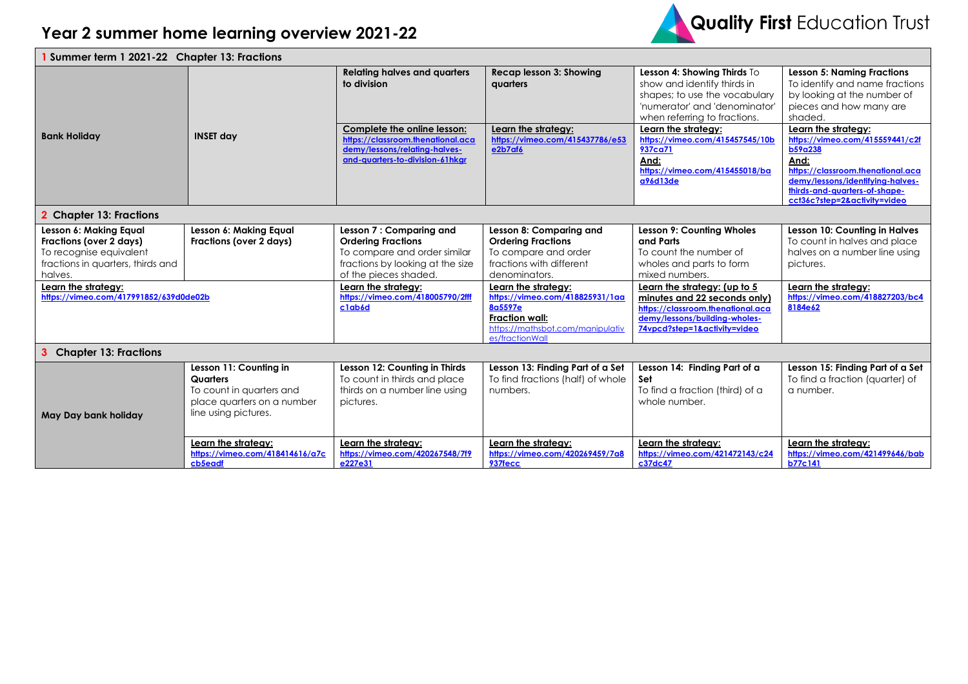

| 1 Summer term 1 2021-22 Chapter 13: Fractions                                                                                                                                                 |                                                                                                                      |                                                                                                                                                                                                                        |                                                                                                                                                                                                |                                                                                                                                                                                                                            |                                                                                                                                                                                                    |  |  |
|-----------------------------------------------------------------------------------------------------------------------------------------------------------------------------------------------|----------------------------------------------------------------------------------------------------------------------|------------------------------------------------------------------------------------------------------------------------------------------------------------------------------------------------------------------------|------------------------------------------------------------------------------------------------------------------------------------------------------------------------------------------------|----------------------------------------------------------------------------------------------------------------------------------------------------------------------------------------------------------------------------|----------------------------------------------------------------------------------------------------------------------------------------------------------------------------------------------------|--|--|
| <b>Bank Holiday</b>                                                                                                                                                                           | <b>INSET day</b>                                                                                                     | <b>Relating halves and quarters</b><br>to division<br>Complete the online lesson:<br>https://classroom.thenational.aca                                                                                                 | Recap lesson 3: Showing<br>quarters<br>Learn the strategy:<br>https://vimeo.com/415437786/e53                                                                                                  | Lesson 4: Showing Thirds To<br>show and identify thirds in<br>shapes; to use the vocabulary<br>'numerator' and 'denominator'<br>when referring to fractions.<br>Learn the strategy:<br>https://vimeo.com/415457545/10b     | <b>Lesson 5: Naming Fractions</b><br>To identify and name fractions<br>by looking at the number of<br>pieces and how many are<br>shaded.<br>Learn the strategy:<br>https://vimeo.com/415559441/c2f |  |  |
|                                                                                                                                                                                               |                                                                                                                      | demy/lessons/relating-halves-<br>and-quarters-to-division-61hkgr                                                                                                                                                       | e2b7af6                                                                                                                                                                                        | 937ca71<br>And:<br>https://vimeo.com/415455018/ba<br>a96d13de                                                                                                                                                              | b59a238<br>And:<br>https://classroom.thenational.aca<br>demy/lessons/identifying-halves-<br>thirds-and-quarters-of-shape-<br>cct36c?step=2&activity=video                                          |  |  |
| 2 Chapter 13: Fractions                                                                                                                                                                       |                                                                                                                      |                                                                                                                                                                                                                        |                                                                                                                                                                                                |                                                                                                                                                                                                                            |                                                                                                                                                                                                    |  |  |
| Lesson 6: Making Equal<br>Fractions (over 2 days)<br>To recognise equivalent<br>fractions in quarters, thirds and<br>halves.<br>Learn the strategy:<br>https://vimeo.com/417991852/639d0de02b | Lesson 6: Making Equal<br>Fractions (over 2 days)                                                                    | Lesson 7: Comparing and<br><b>Ordering Fractions</b><br>To compare and order similar<br>fractions by looking at the size<br>of the pieces shaded.<br>Learn the strategy:<br>https://vimeo.com/418005790/2fff<br>c1ab6d | Lesson 8: Comparing and<br><b>Ordering Fractions</b><br>To compare and order<br>fractions with different<br>denominators.<br>Learn the strategy:<br>https://vimeo.com/418825931/1aa<br>8a5597e | <b>Lesson 9: Counting Wholes</b><br>and Parts<br>To count the number of<br>wholes and parts to form<br>mixed numbers.<br>Learn the strategy: (up to 5<br>minutes and 22 seconds only)<br>https://classroom.thenational.aca | Lesson 10: Counting in Halves<br>To count in halves and place<br>halves on a number line using<br>pictures.<br>Learn the strategy:<br>https://vimeo.com/418827203/bc4<br>8184e62                   |  |  |
|                                                                                                                                                                                               |                                                                                                                      |                                                                                                                                                                                                                        | Fraction wall:<br>https://mathsbot.com/manipulativ<br>es/fractionWall                                                                                                                          | demy/lessons/building-wholes-<br>74vpcd?step=1&activity=video                                                                                                                                                              |                                                                                                                                                                                                    |  |  |
| <b>3</b> Chapter 13: Fractions                                                                                                                                                                |                                                                                                                      |                                                                                                                                                                                                                        |                                                                                                                                                                                                |                                                                                                                                                                                                                            |                                                                                                                                                                                                    |  |  |
| May Day bank holiday                                                                                                                                                                          | Lesson 11: Counting in<br>Quarters<br>To count in quarters and<br>place quarters on a number<br>line using pictures. | Lesson 12: Counting in Thirds<br>To count in thirds and place<br>thirds on a number line using<br>pictures.                                                                                                            | Lesson 13: Finding Part of a Set<br>To find fractions (half) of whole<br>numbers.                                                                                                              | Lesson 14: Finding Part of a<br>Set<br>To find a fraction (third) of a<br>whole number.                                                                                                                                    | Lesson 15: Finding Part of a Set<br>To find a fraction (quarter) of<br>a number.                                                                                                                   |  |  |
|                                                                                                                                                                                               | Learn the strategy:<br>https://vimeo.com/418414616/a7c<br>cb5eadf                                                    | Learn the strategy:<br>https://vimeo.com/420267548/7f9<br>e227e31                                                                                                                                                      | Learn the strategy:<br>https://vimeo.com/420269459/7a8<br>937fecc                                                                                                                              | Learn the strategy:<br>https://vimeo.com/421472143/c24<br>c37dc47                                                                                                                                                          | Learn the strategy:<br>https://vimeo.com/421499646/bab<br>b77c141                                                                                                                                  |  |  |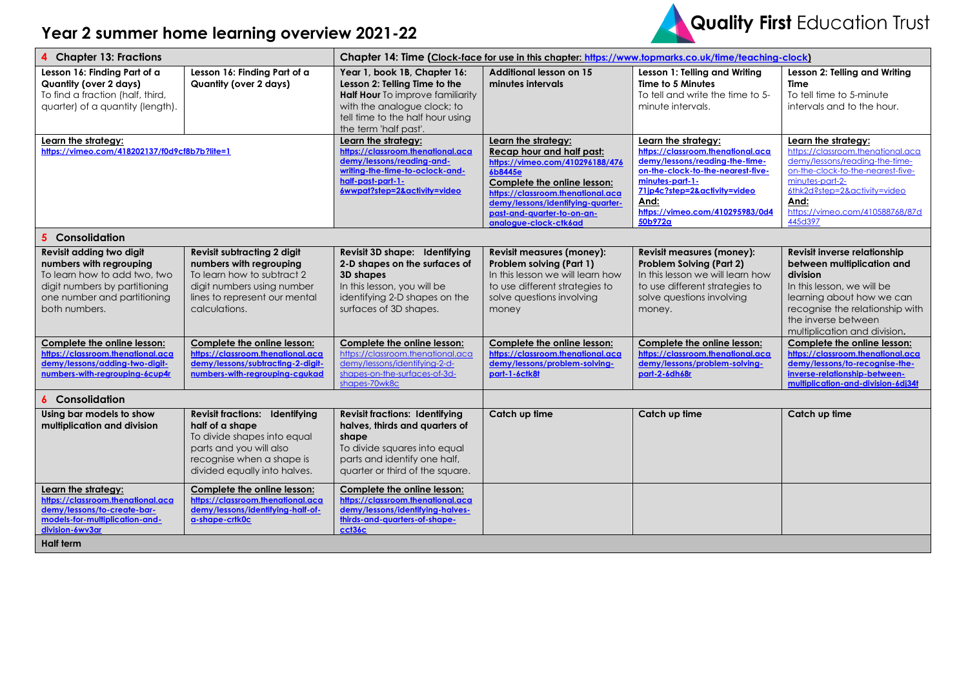## **Year 2 summer home learning overview 2021-22**



| 4 Chapter 13: Fractions                                                                                                                                              |                                                                                                                                                                                 | Chapter 14: Time (Clock-face for use in this chapter: https://www.topmarks.co.uk/time/teaching-clock)                                                                                                |                                                                                                                                                                                                                                                                |                                                                                                                                                                                                                                          |                                                                                                                                                                                                                                          |  |
|----------------------------------------------------------------------------------------------------------------------------------------------------------------------|---------------------------------------------------------------------------------------------------------------------------------------------------------------------------------|------------------------------------------------------------------------------------------------------------------------------------------------------------------------------------------------------|----------------------------------------------------------------------------------------------------------------------------------------------------------------------------------------------------------------------------------------------------------------|------------------------------------------------------------------------------------------------------------------------------------------------------------------------------------------------------------------------------------------|------------------------------------------------------------------------------------------------------------------------------------------------------------------------------------------------------------------------------------------|--|
| Lesson 16: Finding Part of a<br><b>Quantity (over 2 days)</b><br>To find a fraction (half, third,<br>quarter) of a quantity (length).                                | Lesson 16: Finding Part of a<br><b>Quantity (over 2 days)</b>                                                                                                                   | Year 1, book 1B, Chapter 16:<br>Lesson 2: Telling Time to the<br><b>Half Hour</b> To improve familiarity<br>with the analogue clock; to<br>tell time to the half hour using<br>the term 'half past'. | Additional lesson on 15<br>minutes intervals                                                                                                                                                                                                                   | Lesson 1: Telling and Writing<br>Time to 5 Minutes<br>To tell and write the time to 5-<br>minute intervals.                                                                                                                              | Lesson 2: Telling and Writing<br>Time<br>To tell time to 5-minute<br>intervals and to the hour.                                                                                                                                          |  |
| Learn the strategy:<br>https://vimeo.com/418202137/f0d9cf8b7b?lite=1                                                                                                 |                                                                                                                                                                                 | Learn the strateav:<br>https://classroom.thenational.aca<br>demy/lessons/reading-and-<br>writing-the-time-to-oclock-and-<br>half-past-part-1-<br>6wwpat?step=2&activity=video                        | Learn the strategy:<br>Recap hour and half past:<br>https://vimeo.com/410296188/476<br>6b8445e<br>Complete the online lesson:<br>https://classroom.thenational.aca<br>demy/lessons/identifying-quarter-<br>past-and-quarter-to-on-an-<br>analogue-clock-ctk6ad | Learn the strategy:<br>https://classroom.thenational.aca<br>demy/lessons/reading-the-time-<br>on-the-clock-to-the-nearest-five-<br>minutes-part-1-<br>71jp4c?step=2&activity=video<br>And:<br>https://vimeo.com/410295983/0d4<br>50b972a | Learn the strategy:<br>https://classroom.thenational.aca<br>demy/lessons/reading-the-time-<br>on-the-clock-to-the-nearest-five-<br>minutes-part-2-<br>6thk2d?step=2&activity=video<br>And:<br>https://vimeo.com/410588768/87d<br>445d397 |  |
| 5 Consolidation                                                                                                                                                      |                                                                                                                                                                                 |                                                                                                                                                                                                      |                                                                                                                                                                                                                                                                |                                                                                                                                                                                                                                          |                                                                                                                                                                                                                                          |  |
| Revisit adding two digit<br>numbers with regrouping<br>To learn how to add two, two<br>digit numbers by partitioning<br>one number and partitioning<br>both numbers. | <b>Revisit subtracting 2 digit</b><br>numbers with regrouping<br>To learn how to subtract 2<br>digit numbers using number<br>lines to represent our mental<br>calculations.     | Revisit 3D shape: Identifying<br>2-D shapes on the surfaces of<br>3D shapes<br>In this lesson, you will be<br>identifying 2-D shapes on the<br>surfaces of 3D shapes.                                | <b>Revisit measures (money):</b><br>Problem solving (Part 1)<br>In this lesson we will learn how<br>to use different strategies to<br>solve questions involving<br>money                                                                                       | <b>Revisit measures (money):</b><br><b>Problem Solving (Part 2)</b><br>In this lesson we will learn how<br>to use different strategies to<br>solve questions involving<br>money.                                                         | Revisit inverse relationship<br>between multiplication and<br>division<br>In this lesson, we will be<br>learning about how we can<br>recognise the relationship with<br>the inverse between<br>multiplication and division.              |  |
| Complete the online lesson:<br>https://classroom.thenational.aca<br>demy/lessons/adding-two-digit-<br>numbers-with-regrouping-6cup4r                                 | Complete the online lesson:<br>https://classroom.thenational.aca<br>demy/lessons/subtracting-2-digit-<br>numbers-with-regrouping-cgukad                                         | Complete the online lesson:<br>https://classroom.thenational.aca<br>demy/lessons/identifying-2-d-<br>shapes-on-the-surfaces-of-3d-<br>shapes-70wk8c                                                  | Complete the online lesson:<br>https://classroom.thenational.aca<br>demy/lessons/problem-solving-<br>part-1-6ctk8t                                                                                                                                             | Complete the online lesson:<br>https://classroom.thenational.aca<br>demy/lessons/problem-solving-<br>part-2-6dh68r                                                                                                                       | Complete the online lesson:<br>https://classroom.thenational.aca<br>demy/lessons/to-recognise-the-<br>inverse-relationship-between-<br>multiplication-and-division-6di34t                                                                |  |
| <b>6</b> Consolidation                                                                                                                                               |                                                                                                                                                                                 |                                                                                                                                                                                                      |                                                                                                                                                                                                                                                                |                                                                                                                                                                                                                                          |                                                                                                                                                                                                                                          |  |
| Using bar models to show<br>multiplication and division                                                                                                              | <b>Revisit fractions: Identifying</b><br>half of a shape<br>To divide shapes into equal<br>parts and you will also<br>recognise when a shape is<br>divided equally into halves. | <b>Revisit fractions: Identifying</b><br>halves, thirds and quarters of<br>shape<br>To divide squares into equal<br>parts and identify one half,<br>quarter or third of the square.                  | Catch up time                                                                                                                                                                                                                                                  | Catch up time                                                                                                                                                                                                                            | Catch up time                                                                                                                                                                                                                            |  |
| Learn the strategy:<br>https://classroom.thenational.aca<br>demy/lessons/to-create-bar-<br>models-for-multiplication-and-<br>division-6wv3ar                         | Complete the online lesson:<br>https://classroom.thenational.aca<br>demy/lessons/identifying-half-of-<br>a-shape-crik0c                                                         | Complete the online lesson:<br>https://classroom.thenational.aca<br>demy/lessons/identifying-halves-<br>thirds-and-quarters-of-shape-<br>cct36c                                                      |                                                                                                                                                                                                                                                                |                                                                                                                                                                                                                                          |                                                                                                                                                                                                                                          |  |
| <b>Half term</b>                                                                                                                                                     |                                                                                                                                                                                 |                                                                                                                                                                                                      |                                                                                                                                                                                                                                                                |                                                                                                                                                                                                                                          |                                                                                                                                                                                                                                          |  |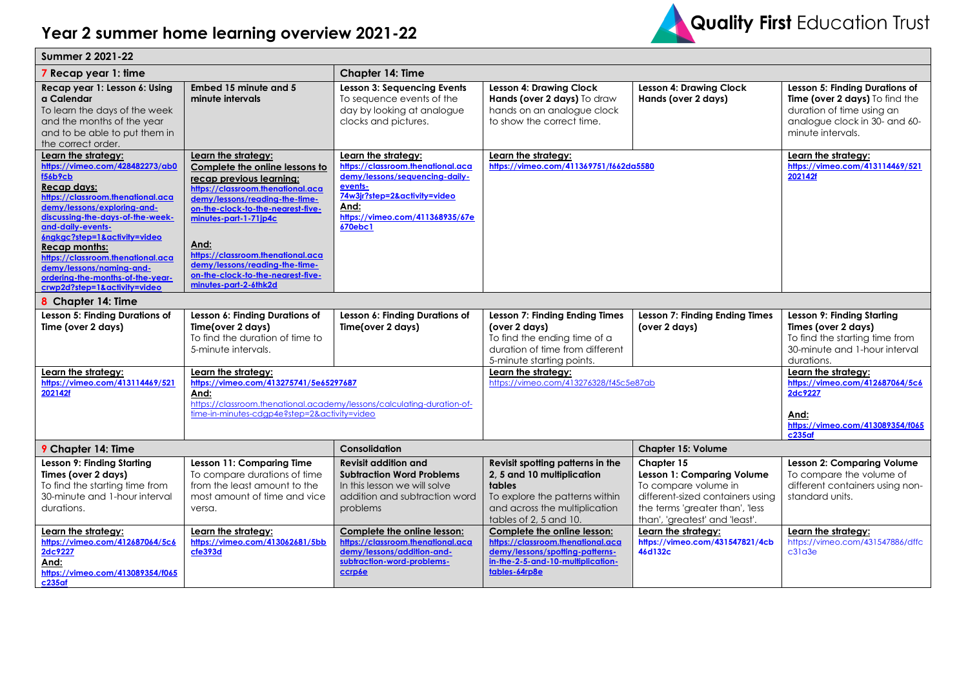

| Summer 2 2021-22                                                                                                                                                                                                                                                                                                                                                                                                  |                                                                                                                                                                                                                                                                                                                                                                     |                                                                                                                                                                                             |                                                                                                                                                                       |                                                                                                                                                                                    |                                                                                                                                                     |  |  |
|-------------------------------------------------------------------------------------------------------------------------------------------------------------------------------------------------------------------------------------------------------------------------------------------------------------------------------------------------------------------------------------------------------------------|---------------------------------------------------------------------------------------------------------------------------------------------------------------------------------------------------------------------------------------------------------------------------------------------------------------------------------------------------------------------|---------------------------------------------------------------------------------------------------------------------------------------------------------------------------------------------|-----------------------------------------------------------------------------------------------------------------------------------------------------------------------|------------------------------------------------------------------------------------------------------------------------------------------------------------------------------------|-----------------------------------------------------------------------------------------------------------------------------------------------------|--|--|
| 7 Recap year 1: time                                                                                                                                                                                                                                                                                                                                                                                              |                                                                                                                                                                                                                                                                                                                                                                     | Chapter 14: Time                                                                                                                                                                            |                                                                                                                                                                       |                                                                                                                                                                                    |                                                                                                                                                     |  |  |
| Recap year 1: Lesson 6: Using<br>a Calendar<br>To learn the days of the week<br>and the months of the year<br>and to be able to put them in<br>the correct order.                                                                                                                                                                                                                                                 | Embed 15 minute and 5<br>minute intervals                                                                                                                                                                                                                                                                                                                           | <b>Lesson 3: Sequencing Events</b><br>To sequence events of the<br>day by looking at analogue<br>clocks and pictures.                                                                       | <b>Lesson 4: Drawing Clock</b><br>Hands (over 2 days) To draw<br>hands on an analogue clock<br>to show the correct time.                                              | <b>Lesson 4: Drawing Clock</b><br>Hands (over 2 days)                                                                                                                              | Lesson 5: Finding Durations of<br>Time (over 2 days) To find the<br>duration of time using an<br>analogue clock in 30- and 60-<br>minute intervals. |  |  |
| Learn the strategy:<br>https://vimeo.com/428482273/ab0<br><b>f56b9cb</b><br>Recap days:<br>https://classroom.thenational.aca<br>demy/lessons/exploring-and-<br>discussing-the-days-of-the-week-<br>and-daily-events-<br>6ngkgc?step=1&activity=video<br><b>Recap months:</b><br>https://classroom.thenational.aca<br>demy/lessons/naming-and-<br>ordering-the-months-of-the-year-<br>crwp2d?step=1&activity=video | Learn the strategy:<br>Complete the online lessons to<br>recap previous learning:<br>https://classroom.thenational.aca<br>demy/lessons/reading-the-time-<br>on-the-clock-to-the-nearest-five-<br>minutes-part-1-71jp4c<br>And:<br>https://classroom.thenational.aca<br>demy/lessons/reading-the-time-<br>on-the-clock-to-the-nearest-five-<br>minutes-part-2-6thk2d | Learn the strategy:<br>https://classroom.thenational.aca<br>demy/lessons/sequencing-daily-<br>events-<br>74w3jr?step=2&activity=video<br>And:<br>https://vimeo.com/411368935/67e<br>670ebc1 | Learn the strategy:<br>https://vimeo.com/411369751/f662da5580                                                                                                         |                                                                                                                                                                                    | Learn the strategy:<br>https://vimeo.com/413114469/521<br>202142f                                                                                   |  |  |
| 8 Chapter 14: Time                                                                                                                                                                                                                                                                                                                                                                                                |                                                                                                                                                                                                                                                                                                                                                                     |                                                                                                                                                                                             |                                                                                                                                                                       |                                                                                                                                                                                    |                                                                                                                                                     |  |  |
| Lesson 5: Finding Durations of<br>Time (over 2 days)                                                                                                                                                                                                                                                                                                                                                              | Lesson 6: Finding Durations of<br>Time(over 2 days)<br>To find the duration of time to<br>5-minute intervals.                                                                                                                                                                                                                                                       | Lesson 6: Finding Durations of<br>Time(over 2 days)                                                                                                                                         | <b>Lesson 7: Finding Ending Times</b><br>(over 2 days)<br>To find the ending time of a<br>duration of time from different<br>5-minute starting points.                | Lesson 7: Finding Ending Times<br>(over 2 days)                                                                                                                                    | Lesson 9: Finding Starting<br>Times (over 2 days)<br>To find the starting time from<br>30-minute and 1-hour interval<br>durations.                  |  |  |
| Learn the strategy:<br>https://vimeo.com/413114469/521<br>202142f                                                                                                                                                                                                                                                                                                                                                 | Learn the strategy:<br>https://vimeo.com/413275741/5e65297687<br>And:<br>https://classroom.thenational.academy/lessons/calculating-duration-of-<br>time-in-minutes-cdap4e?step=2&activity=video                                                                                                                                                                     |                                                                                                                                                                                             | Learn the strategy:<br>https://vimeo.com/413276328/f45c5e87ab                                                                                                         |                                                                                                                                                                                    | Learn the strategy:<br>https://vimeo.com/412687064/5c6<br>2dc9227<br>And:<br>https://vimeo.com/413089354/f065<br>$c235$ af                          |  |  |
| 9 Chapter 14: Time                                                                                                                                                                                                                                                                                                                                                                                                |                                                                                                                                                                                                                                                                                                                                                                     | Consolidation                                                                                                                                                                               |                                                                                                                                                                       | <b>Chapter 15: Volume</b>                                                                                                                                                          |                                                                                                                                                     |  |  |
| Lesson 9: Finding Starting<br>Times (over 2 days)<br>To find the starting time from<br>30-minute and 1-hour interval<br>durations.                                                                                                                                                                                                                                                                                | Lesson 11: Comparing Time<br>To compare durations of time<br>from the least amount to the<br>most amount of time and vice<br>versa.                                                                                                                                                                                                                                 | <b>Revisit addition and</b><br><b>Subtraction Word Problems</b><br>In this lesson we will solve<br>addition and subtraction word<br>problems                                                | Revisit spotting patterns in the<br>2, 5 and 10 multiplication<br>tables<br>To explore the patterns within<br>and across the multiplication<br>tables of 2, 5 and 10. | Chapter $15$<br><b>Lesson 1: Comparing Volume</b><br>To compare volume in<br>different-sized containers using<br>the terms 'greater than', 'less<br>than', 'greatest' and 'least'. | <b>Lesson 2: Comparing Volume</b><br>To compare the volume of<br>different containers using non-<br>standard units.                                 |  |  |
| Learn the strategy:<br>https://vimeo.com/412687064/5c6<br>2dc9227<br>And:<br>https://vimeo.com/413089354/f065<br>c235af                                                                                                                                                                                                                                                                                           | Learn the strategy:<br>https://vimeo.com/413062681/5bb<br>cfe393d                                                                                                                                                                                                                                                                                                   | Complete the online lesson:<br>https://classroom.thenational.aca<br>demy/lessons/addition-and-<br>subtraction-word-problems-<br>ccrp6e                                                      | Complete the online lesson:<br>https://classroom.thenational.aca<br>demy/lessons/spotting-patterns-<br>in-the-2-5-and-10-multiplication-<br>tables-64rp8e             | Learn the strategy:<br>https://vimeo.com/431547821/4cb<br>46d132c                                                                                                                  | Learn the strategy:<br>https://vimeo.com/431547886/dffc<br>c31a3e                                                                                   |  |  |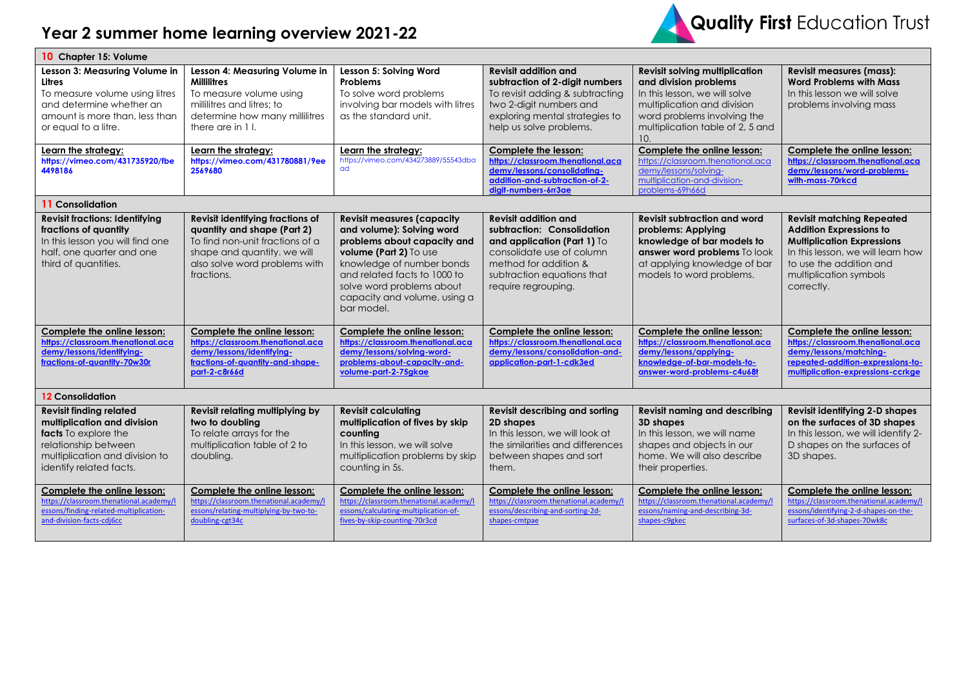## **Year 2 summer home learning overview 2021-22**



| 10 Chapter 15: Volume                                                                                                                                                      |                                                                                                                                                                                  |                                                                                                                                                                                                                                                                 |                                                                                                                                                                                                     |                                                                                                                                                                                                          |                                                                                                                                                                                                                 |  |
|----------------------------------------------------------------------------------------------------------------------------------------------------------------------------|----------------------------------------------------------------------------------------------------------------------------------------------------------------------------------|-----------------------------------------------------------------------------------------------------------------------------------------------------------------------------------------------------------------------------------------------------------------|-----------------------------------------------------------------------------------------------------------------------------------------------------------------------------------------------------|----------------------------------------------------------------------------------------------------------------------------------------------------------------------------------------------------------|-----------------------------------------------------------------------------------------------------------------------------------------------------------------------------------------------------------------|--|
| Lesson 3: Measuring Volume in<br>Litres<br>To measure volume using litres<br>and determine whether an<br>amount is more than, less than<br>or equal to a litre.            | Lesson 4: Measuring Volume in<br><b>Millilitres</b><br>To measure volume using<br>millilitres and litres: to<br>determine how many millilitres<br>there are in 1 l.              | Lesson 5: Solving Word<br><b>Problems</b><br>To solve word problems<br>involving bar models with litres<br>as the standard unit.                                                                                                                                | <b>Revisit addition and</b><br>subtraction of 2-digit numbers<br>To revisit adding & subtracting<br>two 2-digit numbers and<br>exploring mental strategies to<br>help us solve problems.            | <b>Revisit solving multiplication</b><br>and division problems<br>In this lesson, we will solve<br>multiplication and division<br>word problems involving the<br>multiplication table of 2, 5 and<br>10. | <b>Revisit measures (mass):</b><br><b>Word Problems with Mass</b><br>In this lesson we will solve<br>problems involving mass                                                                                    |  |
| Learn the strategy:<br>https://vimeo.com/431735920/fbe<br>4498186                                                                                                          | Learn the strategy:<br>https://vimeo.com/431780881/9ee<br>2569680                                                                                                                | Learn the strategy:<br>https://vimeo.com/434273889/55543dba<br>ad                                                                                                                                                                                               | Complete the lesson:<br>https://classroom.thenational.aca<br>demy/lessons/consolidating-<br>addition-and-subtraction-of-2-<br>digit-numbers-6rr3ae                                                  | Complete the online lesson:<br>https://classroom.thenational.aca<br>demy/lessons/solving-<br>multiplication-and-division-<br>problems-69h66d                                                             | Complete the online lesson:<br>https://classroom.thenational.aca<br>demy/lessons/word-problems-<br>with-mass-70rkcd                                                                                             |  |
| 11 Consolidation                                                                                                                                                           |                                                                                                                                                                                  |                                                                                                                                                                                                                                                                 |                                                                                                                                                                                                     |                                                                                                                                                                                                          |                                                                                                                                                                                                                 |  |
| <b>Revisit fractions: Identifying</b><br>fractions of quantity<br>In this lesson you will find one<br>half, one quarter and one<br>third of quantities.                    | Revisit identifying fractions of<br>quantity and shape (Part 2)<br>To find non-unit fractions of a<br>shape and quantity. we will<br>also solve word problems with<br>fractions. | <b>Revisit measures (capacity</b><br>and volume): Solving word<br>problems about capacity and<br>volume (Part 2) To use<br>knowledge of number bonds<br>and related facts to 1000 to<br>solve word problems about<br>capacity and volume, using a<br>bar model. | <b>Revisit addition and</b><br>subtraction: Consolidation<br>and application (Part 1) To<br>consolidate use of column<br>method for addition &<br>subtraction equations that<br>require regrouping. | <b>Revisit subtraction and word</b><br>problems: Applying<br>knowledge of bar models to<br>answer word problems To look<br>at applying knowledge of bar<br>models to word problems.                      | <b>Revisit matching Repeated</b><br><b>Addition Expressions to</b><br><b>Multiplication Expressions</b><br>In this lesson, we will learn how<br>to use the addition and<br>multiplication symbols<br>correctly. |  |
| Complete the online lesson:<br>https://classroom.thenational.aca<br>demy/lessons/identifying-<br>fractions-of-quantity-70w30r                                              | Complete the online lesson:<br>https://classroom.thenational.aca<br>demy/lessons/identifying-<br>fractions-of-quantity-and-shape-<br>part-2-c8r66d                               | Complete the online lesson:<br>https://classroom.thenational.aca<br>demy/lessons/solving-word-<br>problems-about-capacity-and-<br>volume-part-2-75gkae                                                                                                          | Complete the online lesson:<br>https://classroom.thenational.aca<br>demy/lessons/consolidation-and-<br>application-part-1-cdk3ed                                                                    | Complete the online lesson:<br>https://classroom.thenational.aca<br>demy/lessons/applying-<br>knowledge-of-bar-models-to-<br>answer-word-problems-c4u68t                                                 | Complete the online lesson:<br>https://classroom.thenational.aca<br>demy/lessons/matching-<br>repeated-addition-expressions-to-<br>multiplication-expressions-ccrkge                                            |  |
| <b>12 Consolidation</b>                                                                                                                                                    |                                                                                                                                                                                  |                                                                                                                                                                                                                                                                 |                                                                                                                                                                                                     |                                                                                                                                                                                                          |                                                                                                                                                                                                                 |  |
| <b>Revisit finding related</b><br>multiplication and division<br>facts To explore the<br>relationship between<br>multiplication and division to<br>identify related facts. | Revisit relating multiplying by<br>two to doubling<br>To relate arrays for the<br>multiplication table of 2 to<br>doubling.                                                      | <b>Revisit calculating</b><br>multiplication of fives by skip<br>counting<br>In this lesson, we will solve<br>multiplication problems by skip<br>counting in 5s.                                                                                                | Revisit describing and sorting<br>2D shapes<br>In this lesson, we will look at<br>the similarities and differences<br>between shapes and sort<br>them.                                              | <b>Revisit naming and describing</b><br>3D shapes<br>In this lesson, we will name<br>shapes and objects in our<br>home. We will also describe<br>their properties.                                       | <b>Revisit identifying 2-D shapes</b><br>on the surfaces of 3D shapes<br>In this lesson, we will identify 2-<br>D shapes on the surfaces of<br>3D shapes.                                                       |  |
| Complete the online lesson:<br>https://classroom.thenational.academy/l<br>essons/finding-related-multiplication-<br>and-division-facts-cdj6cc                              | Complete the online lesson:<br>https://classroom.thenational.academy/l<br>essons/relating-multiplying-by-two-to-<br>doubling-cgt34c                                              | Complete the online lesson:<br>https://classroom.thenational.academy/l<br>essons/calculating-multiplication-of-<br>fives-by-skip-counting-70r3cd                                                                                                                | Complete the online lesson:<br>https://classroom.thenational.academy/<br>essons/describing-and-sorting-2d-<br>shapes-cmtpae                                                                         | Complete the online lesson:<br>https://classroom.thenational.academy/l<br>essons/naming-and-describing-3d-<br>shapes-c9gkec                                                                              | Complete the online lesson:<br>https://classroom.thenational.academy/l<br>essons/identifying-2-d-shapes-on-the-<br>surfaces-of-3d-shapes-70wk8c                                                                 |  |